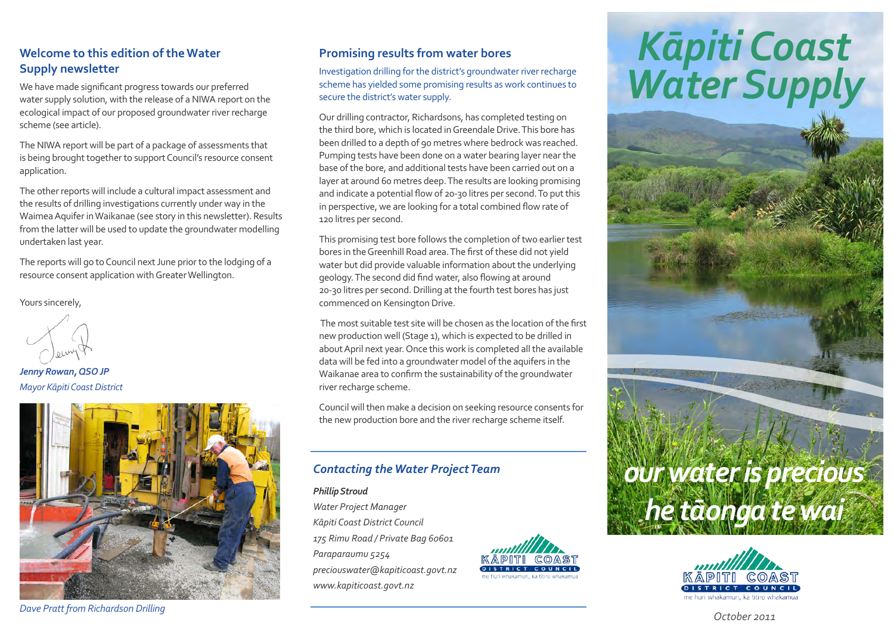### **Welcome to this edition of the Water Supply newsletter**

We have made significant progress towards our preferred water supply solution, with the release of a NIWA report on the ecological impact of our proposed groundwater river recharge scheme (see article).

The NIWA report will be part of a package of assessments that is being brought together to support Council's resource consent application.

The other reports will include a cultural impact assessment and the results of drilling investigations currently under way in the Waimea Aquifer in Waikanae (see story in this newsletter). Results from the latter will be used to update the groundwater modelling undertaken last year.

The reports will go to Council next June prior to the lodging of a resource consent application with Greater Wellington.

Yours sincerely,

*Jenny Rowan, QSO JP Mayor Kāpiti Coast District*



*Dave Pratt from Richardson Drilling* 

#### **Promising results from water bores**

Investigation drilling for the district's groundwater river recharge scheme has yielded some promising results as work continues to secure the district's water supply.

Our drilling contractor, Richardsons, has completed testing on the third bore, which is located in Greendale Drive. This bore has been drilled to a depth of 90 metres where bedrock was reached. Pumping tests have been done on a water bearing layer near the base of the bore, and additional tests have been carried out on a layer at around 60 metres deep. The results are looking promising and indicate a potential flow of 20-30 litres per second. To put this in perspective, we are looking for a total combined flow rate of 120 litres per second.

This promising test bore follows the completion of two earlier test bores in the Greenhill Road area. The first of these did not yield water but did provide valuable information about the underlying geology. The second did find water, also flowing at around 20-30 litres per second. Drilling at the fourth test bores has just commenced on Kensington Drive.

 The most suitable test site will be chosen as the location of the first new production well (Stage 1), which is expected to be drilled in about April next year. Once this work is completed all the available data will be fed into a groundwater model of the aquifers in the Waikanae area to confirm the sustainability of the groundwater river recharge scheme.

Council will then make a decision on seeking resource consents for the new production bore and the river recharge scheme itself.

## *Contacting the Water Project Team*

#### *Phillip Stroud Water Project Manager Kāpiti Coast District Council 175 Rimu Road / Private Bag 60601 Paraparaumu 5254 preciouswater@kapiticoast.govt.nz www.kapiticoast.govt.nz*



# *Kāpiti Coast Water Supply*





*October 2011*